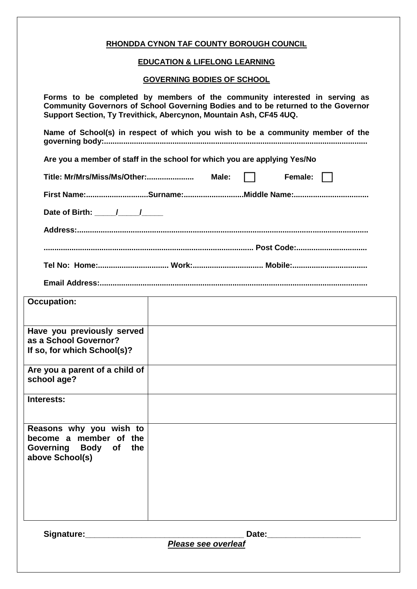### **RHONDDA CYNON TAF COUNTY BOROUGH COUNCIL**

### **EDUCATION & LIFELONG LEARNING**

### **GOVERNING BODIES OF SCHOOL**

**Forms to be completed by members of the community interested in serving as Community Governors of School Governing Bodies and to be returned to the Governor Support Section, Ty Trevithick, Abercynon, Mountain Ash, CF45 4UQ. Name of School(s) in respect of which you wish to be a community member of the governing body:........................................................................................................................... Are you a member of staff in the school for which you are applying Yes/No Title: Mr/Mrs/Miss/Ms/Other:...................... Male: Female:**

**First Name:.............................Surname:............................Middle Name:...................................**

Date of Birth: <u>\_\_\_\_\_/\_\_\_\_\_/</u>

**Address:........................................................................................................................................**

**.................................................................................................. Post Code:................................. Tel No: Home:................................. Work:................................. Mobile:...................................**

**Email Address:.............................................................................................................................**

| <b>Occupation:</b>                                                                            |  |
|-----------------------------------------------------------------------------------------------|--|
| Have you previously served<br>as a School Governor?<br>If so, for which School(s)?            |  |
| Are you a parent of a child of<br>school age?                                                 |  |
| Interests:                                                                                    |  |
| Reasons why you wish to<br>become a member of the<br>Governing Body of the<br>above School(s) |  |

Signature: **Note and Solution Security Contracts** Date:

*Please see overleaf*